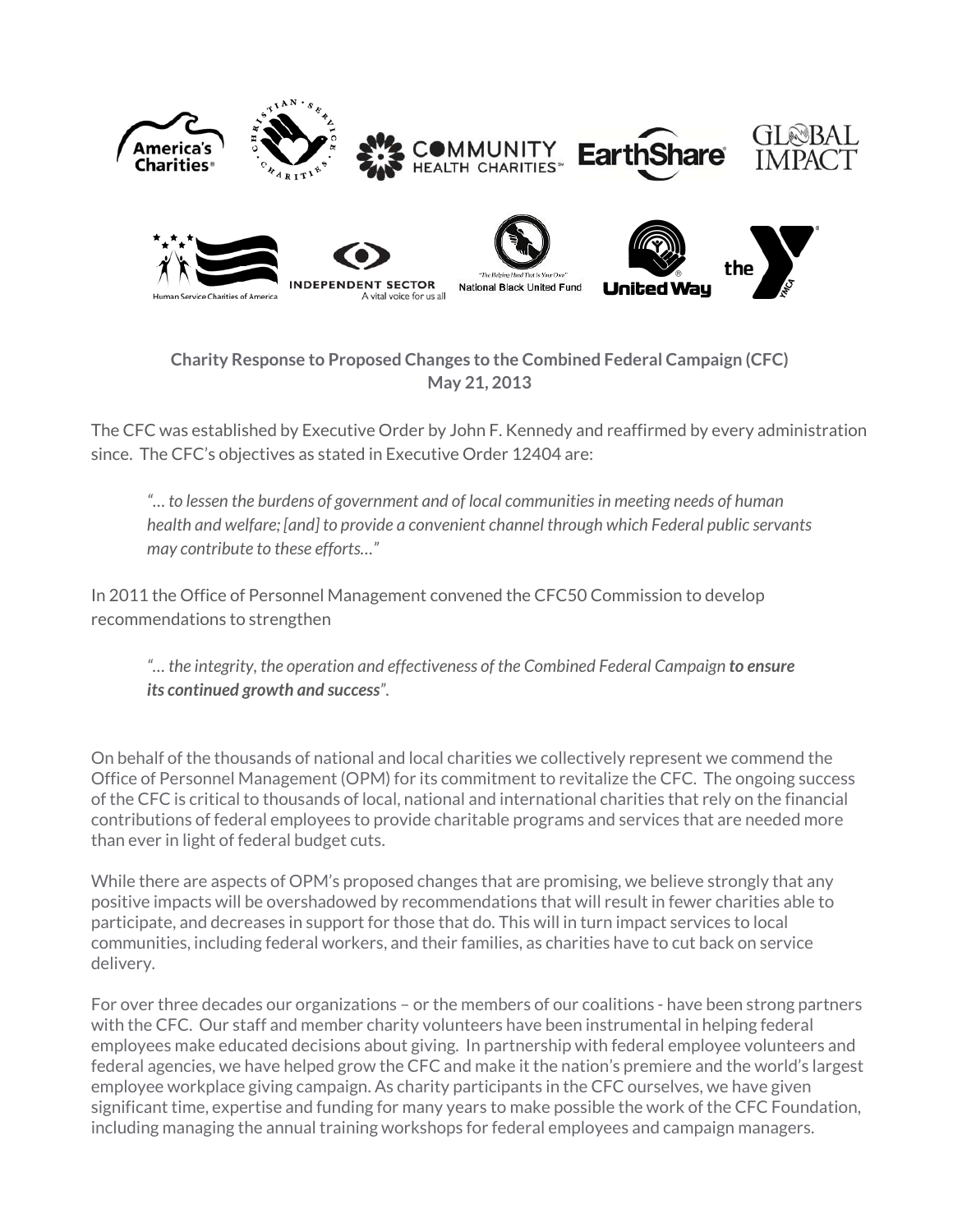

# **Charity Response to Proposed Changes to the Combined Federal Campaign (CFC) May 21, 2013**

The CFC was established by Executive Order by John F. Kennedy and reaffirmed by every administration since. The CFC's objectives as stated in Executive Order 12404 are:

*"… to lessen the burdens of government and of local communities in meeting needs of human health and welfare; [and] to provide a convenient channel through which Federal public servants may contribute to these efforts…"* 

In 2011 the Office of Personnel Management convened the CFC50 Commission to develop recommendations to strengthen

"... the integrity, the operation and effectiveness of the Combined Federal Campaign to ensure *its continued growth and success"*.

On behalf of the thousands of national and local charities we collectively represent we commend the Office of Personnel Management (OPM) for its commitment to revitalize the CFC. The ongoing success of the CFC is critical to thousands of local, national and international charities that rely on the financial contributions of federal employees to provide charitable programs and services that are needed more than ever in light of federal budget cuts.

While there are aspects of OPM's proposed changes that are promising, we believe strongly that any positive impacts will be overshadowed by recommendations that will result in fewer charities able to participate, and decreases in support for those that do. This will in turn impact services to local communities, including federal workers, and their families, as charities have to cut back on service delivery.

For over three decades our organizations – or the members of our coalitions - have been strong partners with the CFC. Our staff and member charity volunteers have been instrumental in helping federal employees make educated decisions about giving. In partnership with federal employee volunteers and federal agencies, we have helped grow the CFC and make it the nation's premiere and the world's largest employee workplace giving campaign. As charity participants in the CFC ourselves, we have given significant time, expertise and funding for many years to make possible the work of the CFC Foundation, including managing the annual training workshops for federal employees and campaign managers.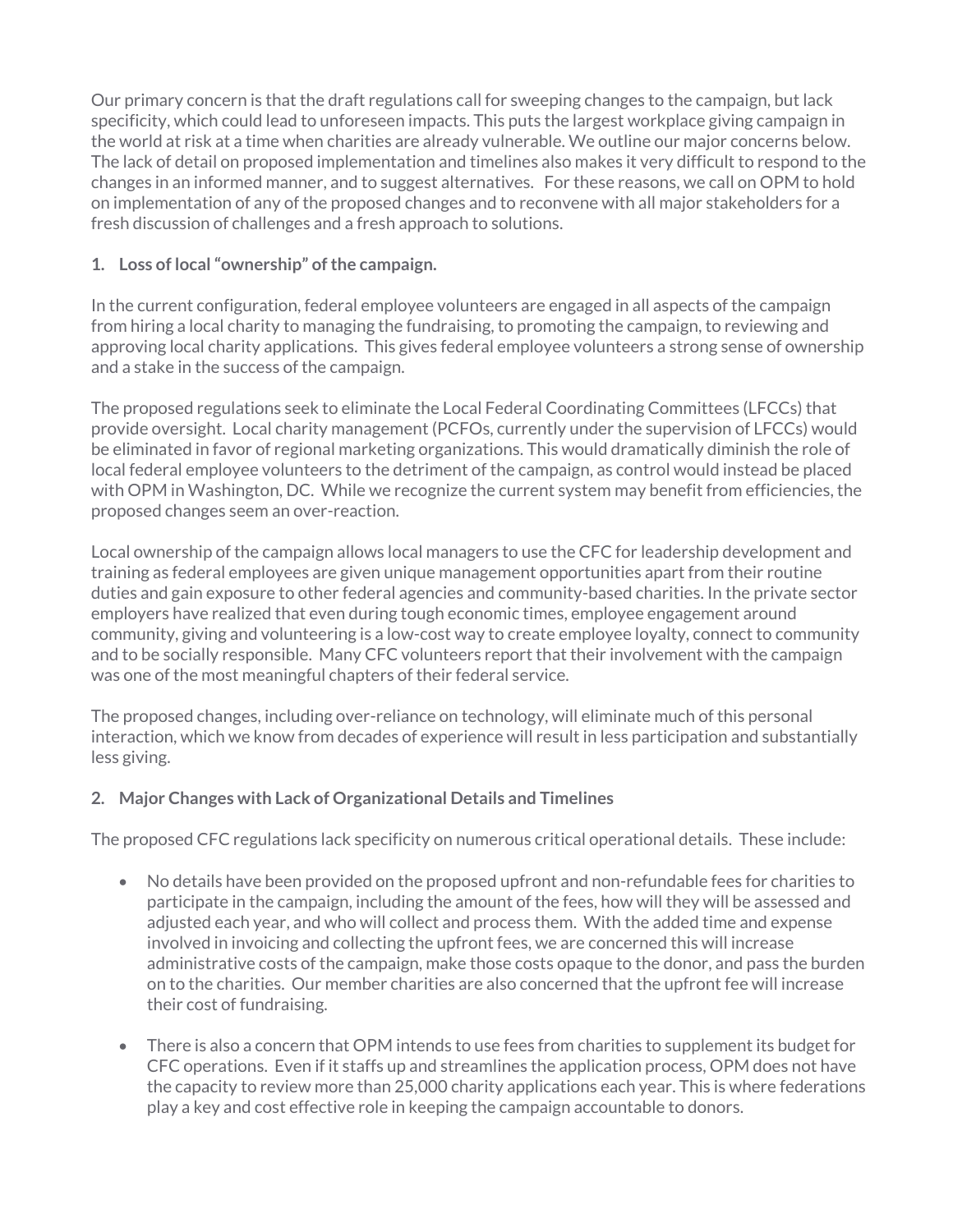Our primary concern is that the draft regulations call for sweeping changes to the campaign, but lack specificity, which could lead to unforeseen impacts. This puts the largest workplace giving campaign in the world at risk at a time when charities are already vulnerable. We outline our major concerns below. The lack of detail on proposed implementation and timelines also makes it very difficult to respond to the changes in an informed manner, and to suggest alternatives. For these reasons, we call on OPM to hold on implementation of any of the proposed changes and to reconvene with all major stakeholders for a fresh discussion of challenges and a fresh approach to solutions.

## **1. Loss of local "ownership" of the campaign.**

In the current configuration, federal employee volunteers are engaged in all aspects of the campaign from hiring a local charity to managing the fundraising, to promoting the campaign, to reviewing and approving local charity applications. This gives federal employee volunteers a strong sense of ownership and a stake in the success of the campaign.

The proposed regulations seek to eliminate the Local Federal Coordinating Committees (LFCCs) that provide oversight. Local charity management (PCFOs, currently under the supervision of LFCCs) would be eliminated in favor of regional marketing organizations. This would dramatically diminish the role of local federal employee volunteers to the detriment of the campaign, as control would instead be placed with OPM in Washington, DC. While we recognize the current system may benefit from efficiencies, the proposed changes seem an over-reaction.

Local ownership of the campaign allows local managers to use the CFC for leadership development and training as federal employees are given unique management opportunities apart from their routine duties and gain exposure to other federal agencies and community-based charities. In the private sector employers have realized that even during tough economic times, employee engagement around community, giving and volunteering is a low-cost way to create employee loyalty, connect to community and to be socially responsible. Many CFC volunteers report that their involvement with the campaign was one of the most meaningful chapters of their federal service.

The proposed changes, including over-reliance on technology, will eliminate much of this personal interaction, which we know from decades of experience will result in less participation and substantially less giving.

## **2. Major Changes with Lack of Organizational Details and Timelines**

The proposed CFC regulations lack specificity on numerous critical operational details. These include:

- No details have been provided on the proposed upfront and non-refundable fees for charities to participate in the campaign, including the amount of the fees, how will they will be assessed and adjusted each year, and who will collect and process them. With the added time and expense involved in invoicing and collecting the upfront fees, we are concerned this will increase administrative costs of the campaign, make those costs opaque to the donor, and pass the burden on to the charities. Our member charities are also concerned that the upfront fee will increase their cost of fundraising.
- There is also a concern that OPM intends to use fees from charities to supplement its budget for CFC operations. Even if it staffs up and streamlines the application process, OPM does not have the capacity to review more than 25,000 charity applications each year. This is where federations play a key and cost effective role in keeping the campaign accountable to donors.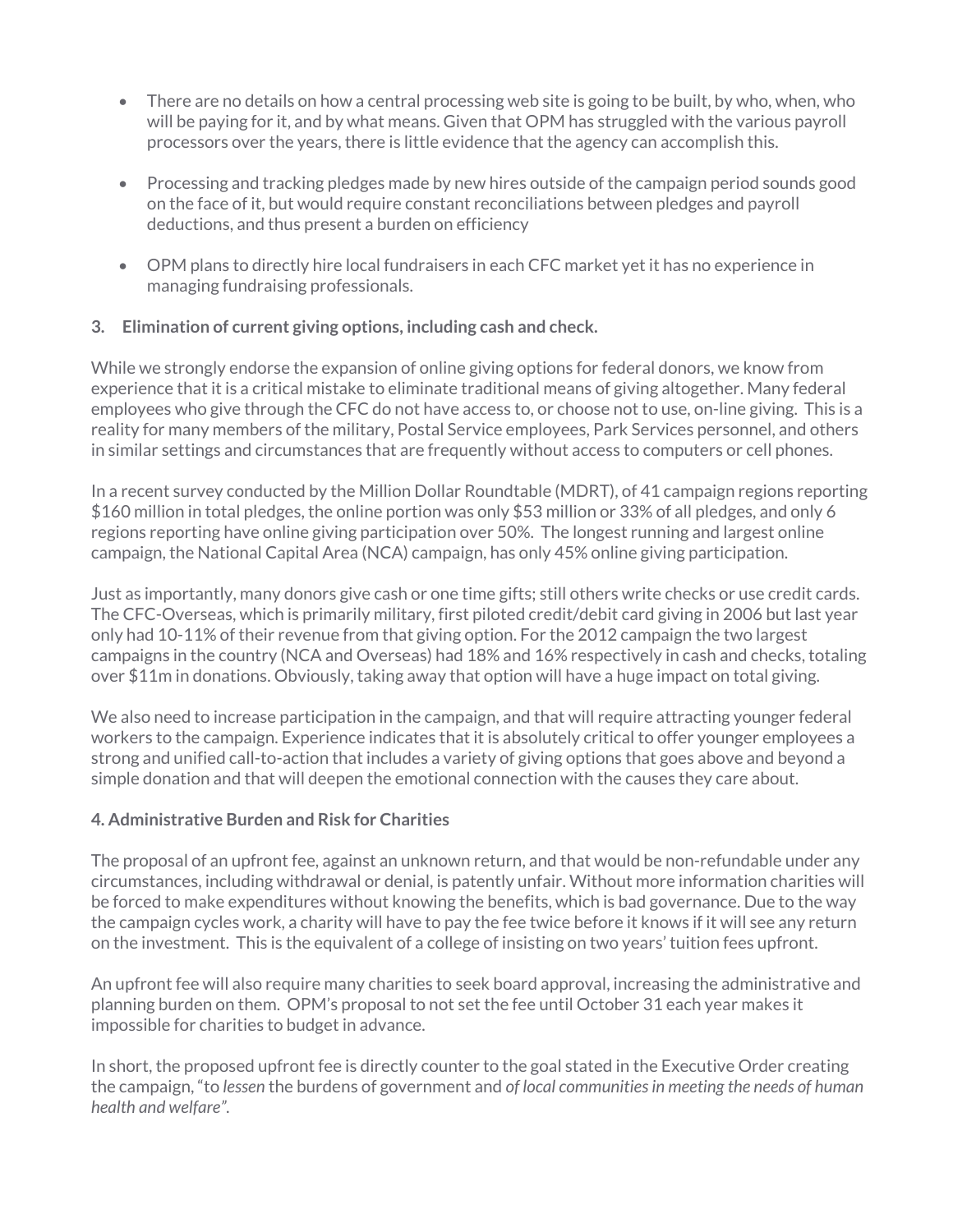- There are no details on how a central processing web site is going to be built, by who, when, who will be paying for it, and by what means. Given that OPM has struggled with the various payroll processors over the years, there is little evidence that the agency can accomplish this.
- Processing and tracking pledges made by new hires outside of the campaign period sounds good on the face of it, but would require constant reconciliations between pledges and payroll deductions, and thus present a burden on efficiency
- OPM plans to directly hire local fundraisers in each CFC market yet it has no experience in managing fundraising professionals.

## **3. Elimination of current giving options, including cash and check.**

While we strongly endorse the expansion of online giving options for federal donors, we know from experience that it is a critical mistake to eliminate traditional means of giving altogether. Many federal employees who give through the CFC do not have access to, or choose not to use, on-line giving. This is a reality for many members of the military, Postal Service employees, Park Services personnel, and others in similar settings and circumstances that are frequently without access to computers or cell phones.

In a recent survey conducted by the Million Dollar Roundtable (MDRT), of 41 campaign regions reporting \$160 million in total pledges, the online portion was only \$53 million or 33% of all pledges, and only 6 regions reporting have online giving participation over 50%. The longest running and largest online campaign, the National Capital Area (NCA) campaign, has only 45% online giving participation.

Just as importantly, many donors give cash or one time gifts; still others write checks or use credit cards. The CFC-Overseas, which is primarily military, first piloted credit/debit card giving in 2006 but last year only had 10-11% of their revenue from that giving option. For the 2012 campaign the two largest campaigns in the country (NCA and Overseas) had 18% and 16% respectively in cash and checks, totaling over \$11m in donations. Obviously, taking away that option will have a huge impact on total giving.

We also need to increase participation in the campaign, and that will require attracting younger federal workers to the campaign. Experience indicates that it is absolutely critical to offer younger employees a strong and unified call-to-action that includes a variety of giving options that goes above and beyond a simple donation and that will deepen the emotional connection with the causes they care about.

## **4. Administrative Burden and Risk for Charities**

The proposal of an upfront fee, against an unknown return, and that would be non-refundable under any circumstances, including withdrawal or denial, is patently unfair. Without more information charities will be forced to make expenditures without knowing the benefits, which is bad governance. Due to the way the campaign cycles work, a charity will have to pay the fee twice before it knows if it will see any return on the investment. This is the equivalent of a college of insisting on two years' tuition fees upfront.

An upfront fee will also require many charities to seek board approval, increasing the administrative and planning burden on them. OPM's proposal to not set the fee until October 31 each year makes it impossible for charities to budget in advance.

In short, the proposed upfront fee is directly counter to the goal stated in the Executive Order creating the campaign, "to *lessen* the burdens of government and *of local communities in meeting the needs of human health and welfare".*